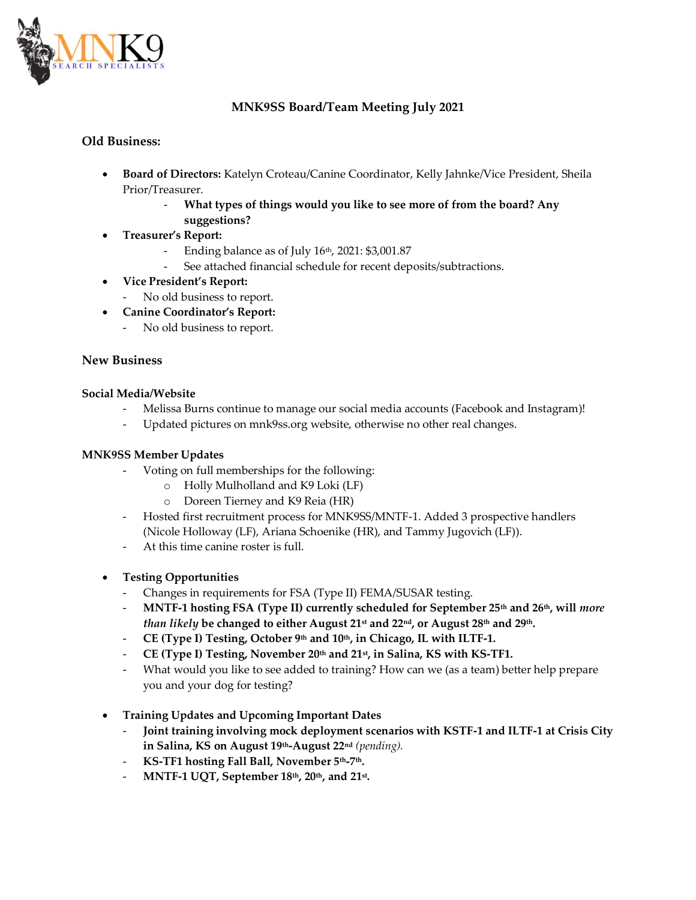

# **MNK9SS Board/Team Meeting July 2021**

### **Old Business:**

- **Board of Directors:** Katelyn Croteau/Canine Coordinator, Kelly Jahnke/Vice President, Sheila Prior/Treasurer.
	- What types of things would you like to see more of from the board? Any **suggestions?**
- **Treasurer's Report:** 
	- Ending balance as of July 16th, 2021: \$3,001.87
	- See attached financial schedule for recent deposits/subtractions.
- **Vice President's Report:**
	- No old business to report.
- **Canine Coordinator's Report:**
	- No old business to report.

# **New Business**

#### **Social Media/Website**

- Melissa Burns continue to manage our social media accounts (Facebook and Instagram)!
- Updated pictures on mnk9ss.org website, otherwise no other real changes.

### **MNK9SS Member Updates**

- Voting on full memberships for the following:
	- o Holly Mulholland and K9 Loki (LF)
	- o Doreen Tierney and K9 Reia (HR)
- Hosted first recruitment process for MNK9SS/MNTF-1. Added 3 prospective handlers (Nicole Holloway (LF), Ariana Schoenike (HR), and Tammy Jugovich (LF)).
- At this time canine roster is full
- **Testing Opportunities**
	- Changes in requirements for FSA (Type II) FEMA/SUSAR testing.
	- **MNTF-1 hosting FSA (Type II) currently scheduled for September 25th and 26th, will** *more than likely* **be changed to either August 21st and 22nd, or August 28th and 29th.**
	- **CE (Type I) Testing, October 9th and 10th, in Chicago, IL with ILTF-1.**
	- **CE (Type I) Testing, November 20th and 21st, in Salina, KS with KS-TF1.**
	- What would you like to see added to training? How can we (as a team) better help prepare you and your dog for testing?
- **Training Updates and Upcoming Important Dates**
	- **Joint training involving mock deployment scenarios with KSTF-1 and ILTF-1 at Crisis City in Salina, KS on August 19th-August 22nd** *(pending).*
	- **KS-TF1 hosting Fall Ball, November 5th-7th.**
	- **MNTF-1 UQT, September 18th, 20th, and 21st .**